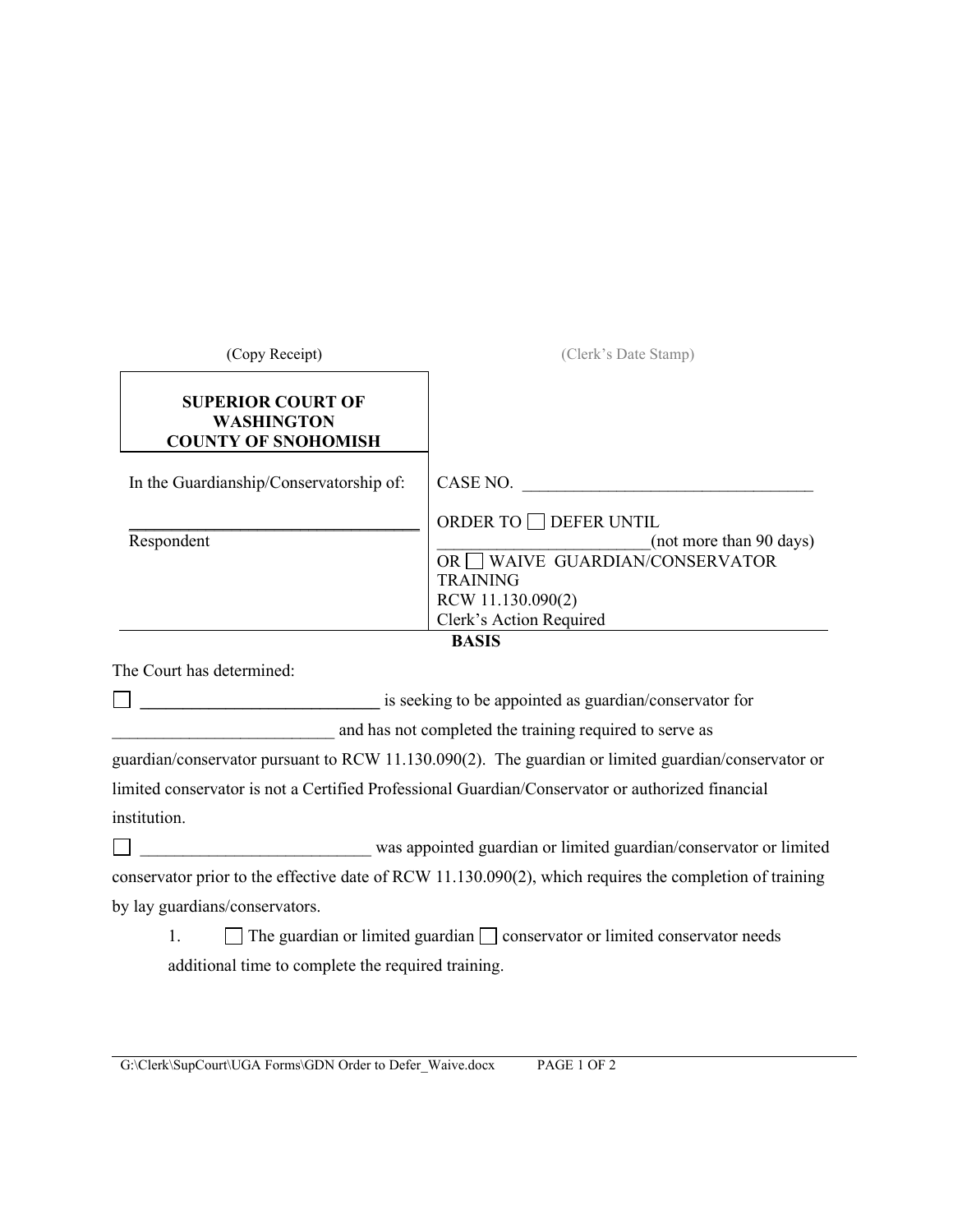| (Copy Receipt)                                                              | (Clerk's Date Stamp)                                                                                                                                              |
|-----------------------------------------------------------------------------|-------------------------------------------------------------------------------------------------------------------------------------------------------------------|
| <b>SUPERIOR COURT OF</b><br><b>WASHINGTON</b><br><b>COUNTY OF SNOHOMISH</b> |                                                                                                                                                                   |
| In the Guardianship/Conservatorship of:                                     | CASE NO.                                                                                                                                                          |
| Respondent                                                                  | ORDER TO □ DEFER UNTIL<br>(not more than 90 days)<br><b>WAIVE GUARDIAN/CONSERVATOR</b><br>OR 1<br><b>TRAINING</b><br>RCW 11.130.090(2)<br>Clerk's Action Required |
|                                                                             | <b>BASIS</b>                                                                                                                                                      |
| The Court has determined:                                                   |                                                                                                                                                                   |
|                                                                             | is seeking to be appointed as guardian/conservator for                                                                                                            |
| and has not completed the training required to serve as                     |                                                                                                                                                                   |
|                                                                             | guardian/conservator pursuant to RCW 11.130.090(2). The guardian or limited guardian/conservator or                                                               |
|                                                                             | limited conservator is not a Certified Professional Guardian/Conservator or authorized financial                                                                  |
| institution.                                                                |                                                                                                                                                                   |
|                                                                             | was appointed guardian or limited guardian/conservator or limited                                                                                                 |
|                                                                             | conservator prior to the effective date of RCW 11.130.090(2), which requires the completion of training                                                           |
| by lay guardians/conservators.                                              |                                                                                                                                                                   |
| 1.                                                                          | The guardian or limited guardian $\Box$ conservator or limited conservator needs                                                                                  |
| additional time to complete the required training.                          |                                                                                                                                                                   |

G:\Clerk\SupCourt\UGA Forms\GDN Order to Defer\_Waive.docx PAGE 1 OF 2